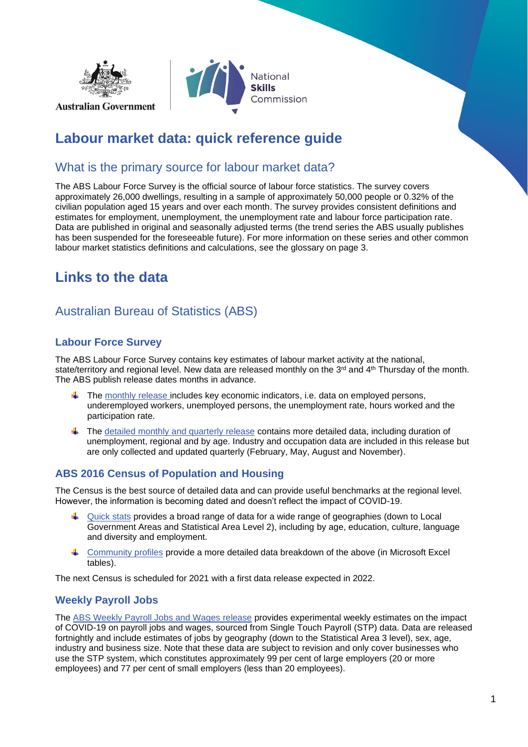



## **Labour market data: quick reference guide**

### What is the primary source for labour market data?

The ABS Labour Force Survey is the official source of labour force statistics. The survey covers approximately 26,000 dwellings, resulting in a sample of approximately 50,000 people or 0.32% of the civilian population aged 15 years and over each month. The survey provides consistent definitions and estimates for employment, unemployment, the unemployment rate and labour force participation rate. Data are published in original and seasonally adjusted terms (the trend series the ABS usually publishes has been suspended for the foreseeable future). For more information on these series and other common labour market statistics definitions and calculations, see the glossary on page 3.

# **Links to the data**

## Australian Bureau of Statistics (ABS)

#### **Labour Force Survey**

The ABS Labour Force Survey contains key estimates of labour market activity at the national, state/territory and regional level. New data are released monthly on the 3<sup>rd</sup> and 4<sup>th</sup> Thursday of the month. The ABS publish release dates months in advance.

- $\ddot{\bullet}$  The [monthly release](https://www.abs.gov.au/statistics/labour/employment-and-unemployment/labour-force-australia/latest-release) includes key economic indicators, i.e. data on employed persons, underemployed workers, unemployed persons, the unemployment rate, hours worked and the participation rate.
- $\ddot{\phantom{1}}$  The [detailed monthly and quarterly release](https://www.abs.gov.au/statistics/labour/employment-and-unemployment/labour-force-australia-detailed/latest-release) contains more detailed data, including duration of unemployment, regional and by age. Industry and occupation data are included in this release but are only collected and updated quarterly (February, May, August and November).

#### **ABS 2016 Census of Population and Housing**

The Census is the best source of detailed data and can provide useful benchmarks at the regional level. However, the information is becoming dated and doesn't reflect the impact of COVID-19.

- $\downarrow$  [Quick stats](https://www.abs.gov.au/websitedbs/D3310114.nsf/Home/2016%20QuickStats) provides a broad range of data for a wide range of geographies (down to Local Government Areas and Statistical Area Level 2), including by age, education, culture, language and diversity and employment.
- [Community profiles](https://www.abs.gov.au/websitedbs/D3310114.nsf/Home/2016%20Census%20Community%20Profiles) provide a more detailed data breakdown of the above (in Microsoft Excel tables).

The next Census is scheduled for 2021 with a first data release expected in 2022.

#### **Weekly Payroll Jobs**

The [ABS Weekly Payroll Jobs and Wages](https://www.abs.gov.au/statistics/labour/earnings-and-work-hours/weekly-payroll-jobs-and-wages-australia/latest-release) release provides experimental weekly estimates on the impact of COVID-19 on payroll jobs and wages, sourced from Single Touch Payroll (STP) data. Data are released fortnightly and include estimates of jobs by geography (down to the Statistical Area 3 level), sex, age, industry and business size. Note that these data are subject to revision and only cover businesses who use the STP system, which constitutes approximately 99 per cent of large employers (20 or more employees) and 77 per cent of small employers (less than 20 employees).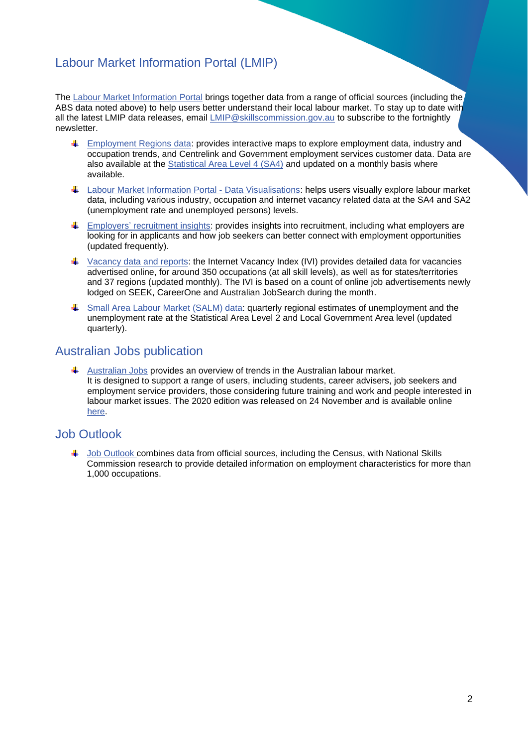## Labour Market Information Portal (LMIP)

The [Labour Market Information Portal](https://lmip.gov.au/) brings together data from a range of official sources (including the ABS data noted above) to help users better understand their local labour market. To stay up to date with all the latest LMIP data releases, email [LMIP@skillscommission.gov.au](mailto:LMIP@skillscommission.gov.au) to subscribe to the fortnightly newsletter.

- $\downarrow$  [Employment Regions](https://lmip.gov.au/maps.aspx?layer=EmploymentRegions®ion=EmploymentRegion) data: provides interactive maps to explore employment data, industry and occupation trends, and Centrelink and Government employment services customer data. Data are also available at the [Statistical](https://lmip.gov.au/maps.aspx?layer=LabourForceRegions®ion=LabourForceRegion(SA4)) Area Level 4 (SA4) and updated on a monthly basis where available.
- [Labour Market Information Portal -](https://public.tableau.com/profile/occupation.and.industry.analysis#!/) Data Visualisations: helps users visually explore labour market data, including various industry, occupation and internet vacancy related data at the SA4 and SA2 (unemployment rate and unemployed persons) levels.
- **Employers' [recruitment insights:](https://lmip.gov.au/default.aspx?LMIP/GainInsights/EmployersRecruitmentInsights) provides insights into recruitment, including what employers are** looking for in applicants and how job seekers can better connect with employment opportunities (updated frequently).
- $\ddot{\phantom{1}}$  [Vacancy data and reports:](https://lmip.gov.au/default.aspx?LMIP/GainInsights/VacancyReport) the Internet Vacancy Index (IVI) provides detailed data for vacancies advertised online, for around 350 occupations (at all skill levels), as well as for states/territories and 37 regions (updated monthly). The IVI is based on a count of online job advertisements newly lodged on SEEK, CareerOne and Australian JobSearch during the month.
- [Small Area Labour Market \(SALM\) data:](https://lmip.gov.au/default.aspx?LMIP/Downloads/SmallAreaLabourMarketsSALM) quarterly regional estimates of unemployment and the unemployment rate at the Statistical Area Level 2 and Local Government Area level (updated quarterly).

### Australian Jobs publication

 $\blacktriangle$  [Australian Jobs](https://www.nationalskillscommission.gov.au/australian-jobs) provides an overview of trends in the Australian labour market. It is designed to support a range of users, including students, career advisers, job seekers and employment service providers, those considering future training and work and people interested in labour market issues. The 2020 edition was released on 24 November and is available online [here.](https://www.nationalskillscommission.gov.au/australian-jobs)

### Job Outlook

 $\ddagger$  [Job Outlook](https://joboutlook.gov.au/) combines data from official sources, including the Census, with National Skills Commission research to provide detailed information on employment characteristics for more than 1,000 occupations.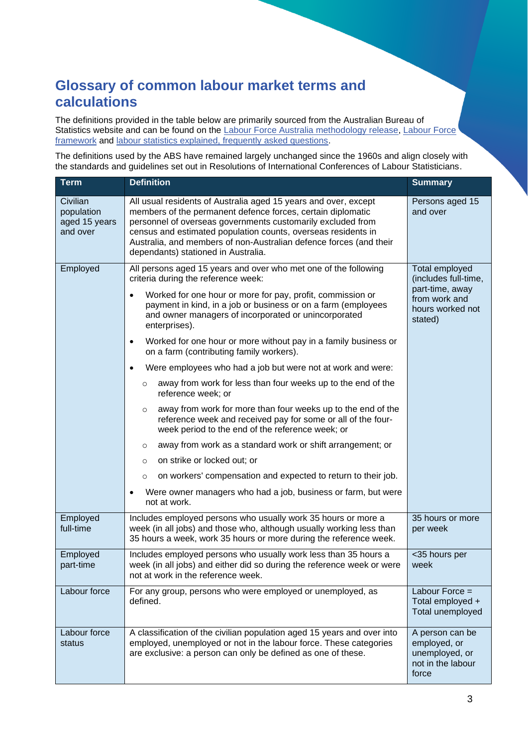## **Glossary of common labour market terms and calculations**

The definitions provided in the table below are primarily sourced from the Australian Bureau of Statistics website and can be found on the [Labour Force Australia methodology release,](https://www.abs.gov.au/methodologies/labour-force-australia-methodology) Labour Force [framework](https://www.abs.gov.au/ausstats/abs@.nsf/Lookup/by%20Subject/6102.0.55.001~Feb%202018~Main%20Features~The%20Labour%20Force%20Framework~3) and [labour statistics explained, frequently asked questions.](https://www.abs.gov.au/ausstats/abs@.nsf/Lookup/by%20Subject/6102.0.55.001~Feb%202018~Main%20Features~Labour%20Statistics%20Explained%20Frequently%20Asked%20Questions~44#:~:text=The%20ABS%20classifies%20people%20as,in%20the%20survey%20reference%20week.&text=Part%2Dtime%20workers%20are%20those,in%20the%20survey%20reference%20week.)

The definitions used by the ABS have remained largely unchanged since the 1960s and align closely with the standards and guidelines set out in Resolutions of International Conferences of Labour Statisticians.

| <b>Term</b>                                         | <b>Definition</b>                                                                                                                                                                                                                                                                                                                                                           | <b>Summary</b>                                                                  |
|-----------------------------------------------------|-----------------------------------------------------------------------------------------------------------------------------------------------------------------------------------------------------------------------------------------------------------------------------------------------------------------------------------------------------------------------------|---------------------------------------------------------------------------------|
| Civilian<br>population<br>aged 15 years<br>and over | All usual residents of Australia aged 15 years and over, except<br>members of the permanent defence forces, certain diplomatic<br>personnel of overseas governments customarily excluded from<br>census and estimated population counts, overseas residents in<br>Australia, and members of non-Australian defence forces (and their<br>dependants) stationed in Australia. | Persons aged 15<br>and over                                                     |
| Employed                                            | All persons aged 15 years and over who met one of the following<br>criteria during the reference week:<br>Worked for one hour or more for pay, profit, commission or<br>٠                                                                                                                                                                                                   | Total employed<br>(includes full-time,<br>part-time, away                       |
|                                                     | payment in kind, in a job or business or on a farm (employees<br>and owner managers of incorporated or unincorporated<br>enterprises).                                                                                                                                                                                                                                      | from work and<br>hours worked not<br>stated)                                    |
|                                                     | Worked for one hour or more without pay in a family business or<br>٠<br>on a farm (contributing family workers).                                                                                                                                                                                                                                                            |                                                                                 |
|                                                     | Were employees who had a job but were not at work and were:<br>٠                                                                                                                                                                                                                                                                                                            |                                                                                 |
|                                                     | away from work for less than four weeks up to the end of the<br>$\circ$<br>reference week; or                                                                                                                                                                                                                                                                               |                                                                                 |
|                                                     | away from work for more than four weeks up to the end of the<br>$\circ$<br>reference week and received pay for some or all of the four-<br>week period to the end of the reference week; or                                                                                                                                                                                 |                                                                                 |
|                                                     | away from work as a standard work or shift arrangement; or<br>$\circ$                                                                                                                                                                                                                                                                                                       |                                                                                 |
|                                                     | on strike or locked out; or<br>$\circ$                                                                                                                                                                                                                                                                                                                                      |                                                                                 |
|                                                     | on workers' compensation and expected to return to their job.<br>$\circ$                                                                                                                                                                                                                                                                                                    |                                                                                 |
|                                                     | Were owner managers who had a job, business or farm, but were<br>٠<br>not at work.                                                                                                                                                                                                                                                                                          |                                                                                 |
| Employed<br>full-time                               | Includes employed persons who usually work 35 hours or more a<br>week (in all jobs) and those who, although usually working less than<br>35 hours a week, work 35 hours or more during the reference week.                                                                                                                                                                  | 35 hours or more<br>per week                                                    |
| Employed<br>part-time                               | Includes employed persons who usually work less than 35 hours a<br>week (in all jobs) and either did so during the reference week or were<br>not at work in the reference week.                                                                                                                                                                                             | <35 hours per<br>week                                                           |
| Labour force                                        | For any group, persons who were employed or unemployed, as<br>defined.                                                                                                                                                                                                                                                                                                      | Labour Force $=$<br>Total employed +<br>Total unemployed                        |
| Labour force<br>status                              | A classification of the civilian population aged 15 years and over into<br>employed, unemployed or not in the labour force. These categories<br>are exclusive: a person can only be defined as one of these.                                                                                                                                                                | A person can be<br>employed, or<br>unemployed, or<br>not in the labour<br>force |